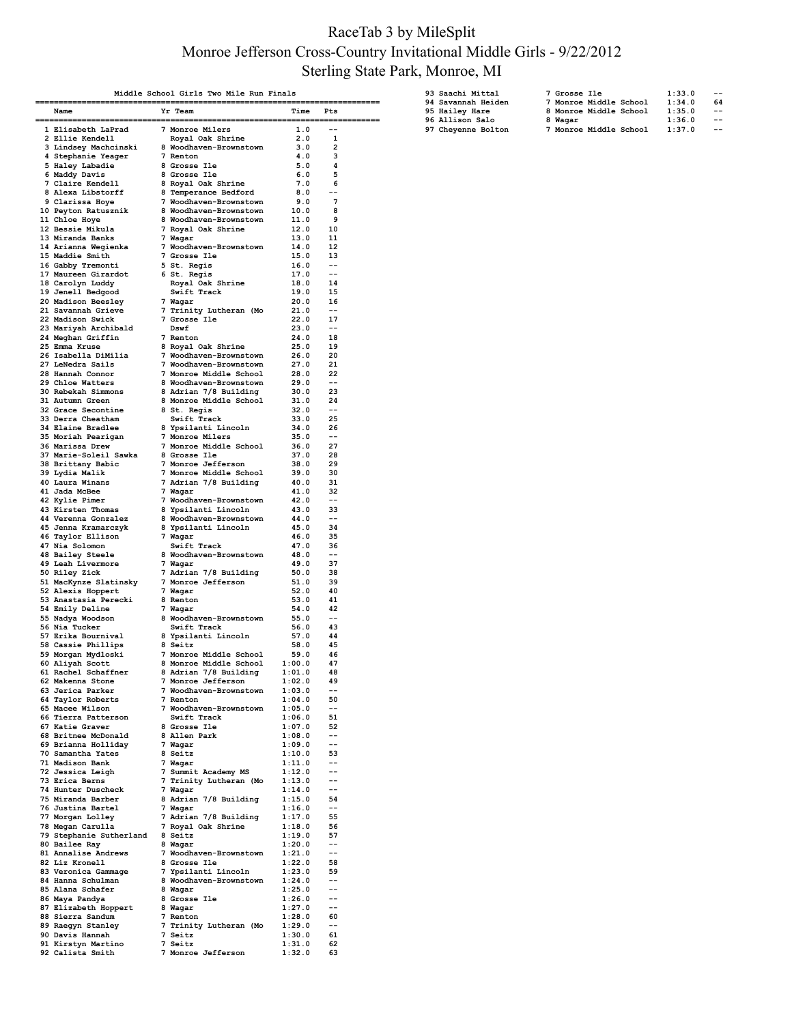### RaceTab 3 by MileSplit Monroe Jefferson Cross-Country Invitational Middle Girls - 9/22/2012 Sterling State Park, Monroe, MI

| Middle School Girls Two Mile Run Finals |                                                                                                      |  |                                                                            |                  |                         |  |  |
|-----------------------------------------|------------------------------------------------------------------------------------------------------|--|----------------------------------------------------------------------------|------------------|-------------------------|--|--|
|                                         | Name                                                                                                 |  | Yr Team                                                                    | Time             | Pts                     |  |  |
|                                         |                                                                                                      |  | :=================<br>7 Monroe Milers                                      |                  |                         |  |  |
|                                         | 1 Elisabeth LaPrad<br>2 Ellie Kendell                                                                |  | Royal Oak Shrine                                                           | 1.0<br>2.0       | 1                       |  |  |
|                                         | 3 Lindsey Machcinski                                                                                 |  | 8 Woodhaven-Brownstown                                                     | 3.0              | 2                       |  |  |
|                                         | 4 Stephanie Yeager                                                                                   |  | 7 Renton                                                                   | 4.0              | 3                       |  |  |
|                                         | 5 Haley Labadie<br>6 Maddy Davis                                                                     |  | 8 Grosse Ile<br><b>8 Grosse Ile</b>                                        | 5.0<br>6.0       | 4<br>5                  |  |  |
|                                         | 7 Claire Kendell                                                                                     |  | 8 Royal Oak Shrine                                                         | 7.0              | 6                       |  |  |
|                                         | 8 Alexa Libstorff<br>9 Clarissa Hoye                                                                 |  | 8 Temperance Bedford<br>7 Woodhaven-Brownstown                             | 8.0<br>9.0       | $-$<br>7                |  |  |
|                                         | 10 Peyton Ratusznik                                                                                  |  | 8 Woodhaven-Brownstown                                                     | 10.0             | 8                       |  |  |
|                                         | 11 Chloe Hoye                                                                                        |  | 8 Woodhaven-Brownstown                                                     | 11.0             | 9                       |  |  |
|                                         | 12 Bessie Mikula                                                                                     |  | 7 Royal Oak Shrine                                                         | 12.0             | 10                      |  |  |
|                                         | 13 Miranda Banks<br>14 Arianna Wegienka                                                              |  | 7 Wagar<br>7 Woodhaven-Brownstown                                          | 13.0<br>14.0     | 11<br>12                |  |  |
|                                         | 15 Maddie Smith                                                                                      |  | 7 Grosse Ile                                                               | 15.0             | 13                      |  |  |
|                                         | 16 Gabby Tremonti                                                                                    |  | 5 St. Regis                                                                | 16.0             | --                      |  |  |
|                                         | 17 Maureen Girardot<br>18 Carolyn Luddy                                                              |  | 6 St. Regis<br>Royal Oak Shrine                                            | 17.0<br>18.0     | --<br>14                |  |  |
|                                         | 19 Jenell Bedgood                                                                                    |  | Swift Track                                                                | 19.0             | 15                      |  |  |
|                                         | 20 Madison Beesley                                                                                   |  | 7 Wagar                                                                    | 20.0             | 16                      |  |  |
|                                         | 21 Savannah Grieve<br>22 Madison Swick                                                               |  | 7 Trinity Lutheran (Mo<br>7 Grosse Ile                                     | 21.0<br>22.0     | --<br>17                |  |  |
|                                         | 23 Mariyah Archibald                                                                                 |  | Dswf                                                                       | 23.0             | --                      |  |  |
|                                         | 24 Meghan Griffin                                                                                    |  | 7 Renton                                                                   | 24.0             | 18                      |  |  |
|                                         | 25 Emma Kruse<br>26 Isabella DiMilia                                                                 |  | 8 Royal Oak Shrine<br>7 Woodhaven-Brownstown                               | 25.0<br>26.0     | 19<br>20                |  |  |
|                                         | 27 LeNedra Sails                                                                                     |  | 7 Woodhaven-Brownstown                                                     | 27.0             | 21                      |  |  |
|                                         | 28 Hannah Connor                                                                                     |  | 7 Monroe Middle School<br>, monroe middle school<br>8 Woodhaven-Brownstown | 28.0             | 22                      |  |  |
|                                         | 29 Chloe Watters<br>30 Rebekah Simmons                                                               |  | 8 Adrian 7/8 Building                                                      | 29.0<br>30.0     | $- -$<br>23             |  |  |
|                                         | 31 Autumn Green                                                                                      |  | 8 Monroe Middle School                                                     | 31.0             | 24                      |  |  |
|                                         | 32 Grace Secontine                                                                                   |  | 8 St. Regis                                                                | 32.0             | $- -$                   |  |  |
|                                         | 33 Derra Cheatham<br>34 Elaine Bradlee                                                               |  | Swift Track<br>8 Ypsilanti Lincoln                                         | 33.0<br>34.0     | 25<br>26                |  |  |
|                                         | 35 Moriah Pearigan                                                                                   |  | 7 Monroe Milers                                                            | 35.0             | --                      |  |  |
|                                         | 36 Marissa Drew                                                                                      |  | 7 Monroe Middle School                                                     | 36.0             | 27                      |  |  |
|                                         | 37 Marie-Soleil Sawka 8 Grosse Ile                                                                   |  |                                                                            | 37.0             | 28<br>29                |  |  |
|                                         | 38 Brittany Babic<br>39 Lydia Malik                                                                  |  | 7 Monroe Jefferson<br>7 Monroe Middle School                               | 38.0<br>39.0     | 30                      |  |  |
|                                         | 40 Laura Winans                                                                                      |  | 7 Adrian 7/8 Building                                                      | 40.0             | 31                      |  |  |
|                                         | 41 Jada McBee                                                                                        |  | 7 Wagar                                                                    | 41.0             | 32<br>$-$               |  |  |
|                                         | 42 Kylie Pimer<br>43 Kirsten Thomas                                                                  |  | 7 Woodhaven-Brownstown<br>8 Ypsilanti Lincoln                              | 42.0<br>43.0     | 33                      |  |  |
|                                         | 44 Verenna Gonzalez                                                                                  |  | 8 Woodhaven-Brownstown                                                     | 44.0             | $- -$                   |  |  |
|                                         | 45 Jenna Kramarczyk                                                                                  |  | 8 Ypsilanti Lincoln                                                        | 45.0             | 34                      |  |  |
|                                         | 46 Taylor Ellison<br>47 Nia Solomon                                                                  |  | 7 Wagar<br>Swift Track                                                     | 46.0<br>47.0     | 35<br>36                |  |  |
|                                         | <b>48 Bailey Steele</b>                                                                              |  | 8 Woodhaven-Brownstown                                                     | 48.0             | --                      |  |  |
|                                         | 49 Leah Livermore                                                                                    |  | 7 Wagar                                                                    | 49.0             | 37                      |  |  |
|                                         | 50 Riley Zick<br>51 MacKynze Slatinsky                                                               |  | 7 Adrian 7/8 Building<br><b>7 Monroe Jefferson</b>                         | 50.0<br>51.0     | 38<br>39                |  |  |
|                                         | 52 Alexis Hoppert                                                                                    |  | 7 Wagar                                                                    | 52.0             | 40                      |  |  |
|                                         | 53 Anastasia Perecki                                                                                 |  | 8 Renton                                                                   | 53.0             | 41                      |  |  |
|                                         | 54 Emily Deline<br>55 Nadya Woodson                                                                  |  | 7 Wagar<br>8 Woodhaven-Brownstown                                          | 54.0<br>55.0     | 42<br>--                |  |  |
|                                         | 56 Nia Tucker                                                                                        |  | Swift Track                                                                | 56.0             | 43                      |  |  |
|                                         | 57 Erika Bournival                                                                                   |  | 8 Ypsilanti Lincoln                                                        | 57.0             | 44                      |  |  |
|                                         | 58 Cassie Phillips<br>59 Morgan Mydloski                                                             |  | 8 Seitz<br>7 Monroe Middle School                                          | 58.0<br>59.0     | 45<br>46                |  |  |
|                                         | 60 Aliyah Scott                                                                                      |  | 8 Monroe Middle School                                                     | 1:00.0           | 47                      |  |  |
|                                         | 61 Rachel Schaffner 8 Adrian 7/8 Building                                                            |  |                                                                            | 1:01.0           | 48                      |  |  |
|                                         | 62 Makenna Stone<br>63 Jerica Parker                                                                 |  | 7 Monroe Jefferson<br>7 Woodhaven-Brownstown                               | 1:02.0<br>1:03.0 | 49<br>$- -$             |  |  |
|                                         | 63 Jerica Fuero<br>64 Taylor Roberts<br>111000                                                       |  |                                                                            |                  | 50                      |  |  |
|                                         | 65 Macee Wilson                                                                                      |  |                                                                            |                  | $-\,-$                  |  |  |
|                                         |                                                                                                      |  | Swift Track                                                                | 1:07.0           | 51<br>52                |  |  |
|                                         | 66 Tierra Patterson<br>67 Katie Graver<br>68 Britnee McDonald<br>69 Drisses Wellish                  |  | <b>Swift Track<br/>8 Grosse Ile<br/>8 Allen Park</b>                       | 1:08.0           | $-$                     |  |  |
|                                         | 69 Brianna Holliday<br>70 Samantha Yates                                                             |  | 7 Wagar<br>, wagar<br>8 Seitz                                              | 1:09.0           | $-$                     |  |  |
|                                         | 71 Madison Bank                                                                                      |  |                                                                            | 1:10.0<br>1:11.0 | 53<br>$\qquad \qquad -$ |  |  |
|                                         | 72 Jessica Leigh<br>72 Tuise Dewes                                                                   |  | 7 Wagar<br>7 Summit Academy MS<br>-                                        | 1:12.0           | $- -$                   |  |  |
|                                         | 73 Erica Berns                                                                                       |  | 7 Trinity Lutheran (Mo                                                     | 1:13.0           | --                      |  |  |
|                                         | 74 Hunter Duscheck<br>75 Miranda Barber                                                              |  | 7 Wagar                                                                    | 1:14.0           | $-$<br>54               |  |  |
|                                         | 76 Justina Bartel                                                                                    |  | 8 Adrian 7/8 Building                                                      | 1:15.0<br>1:16.0 | $- -$                   |  |  |
|                                         | 77 Morgan Lolley                                                                                     |  | 7 Wagar<br>7 Adrian 7/8 Building<br>7 Royal Oak Shrine                     | 1:17.0           | 55                      |  |  |
|                                         | 78 Megan Carulla                                                                                     |  |                                                                            | 1:18.0           | 56                      |  |  |
|                                         | 79 Stephanie Sutherland 8 Seitz<br>80 Bailee Ray                                                     |  |                                                                            | 1:19.0<br>1:20.0 | 57<br>$-$               |  |  |
|                                         | 81 Annalise Andrews                                                                                  |  | 8 Wagar<br>7 Woodhaven-Brownstown<br>8 Grosse Ile                          | 1:21.0           | $-$                     |  |  |
|                                         | 82 Liz Kronell                                                                                       |  |                                                                            | 1:22.0           | 58                      |  |  |
|                                         | % 83 Veronica Gammage 7 Presilanti Lincoln 1:23.0<br>84 Hanna Schulman 8 Woodhaven-Brownstown 1:24.0 |  |                                                                            | 1:23.0           | 59<br>$ -$              |  |  |
|                                         | 85 Alana Schafer                                                                                     |  | 8 Wagar                                                                    | 1:25.0           | $- -$                   |  |  |
|                                         | 86 Maya Pandya                                                                                       |  | <b>8 Grosse Ile</b>                                                        | 1:26.0           | $- -$                   |  |  |
|                                         | 87 Elizabeth Hoppert<br>88 Sierra Sandum                                                             |  | 8 Wagar<br>7 Renton                                                        | 1:27.0<br>1:28.0 | $-$<br>60               |  |  |
|                                         | 89 Raegyn Stanley<br>Companie Hannah                                                                 |  | 7 Trinity Lutheran (Mo<br>7 Seitz                                          | 1:29.0           | $-$                     |  |  |
|                                         | 90 Davis Hannah                                                                                      |  |                                                                            | 1:30.0           | 61                      |  |  |
|                                         | 91 Kirstyn Martino<br>92 Calista Smith<br>92 Calista Smith                                           |  | 7 Seitz<br>7 Monroe Jefferson                                              | 1:31.0<br>1:32.0 | 62<br>63                |  |  |

| 93 Saachi Mittal   | 7 Grosse Ile           | 1:33.0 | $- -$ |
|--------------------|------------------------|--------|-------|
| 94 Savannah Heiden | 7 Monroe Middle School | 1:34.0 | 64    |
| 95 Hailey Hare     | 8 Monroe Middle School | 1:35.0 | $- -$ |
| 96 Allison Salo    | 8 Wagar                | 1:36.0 | $- -$ |
| 97 Cheyenne Bolton | 7 Monroe Middle School | 1:37.0 | $ -$  |
|                    |                        |        |       |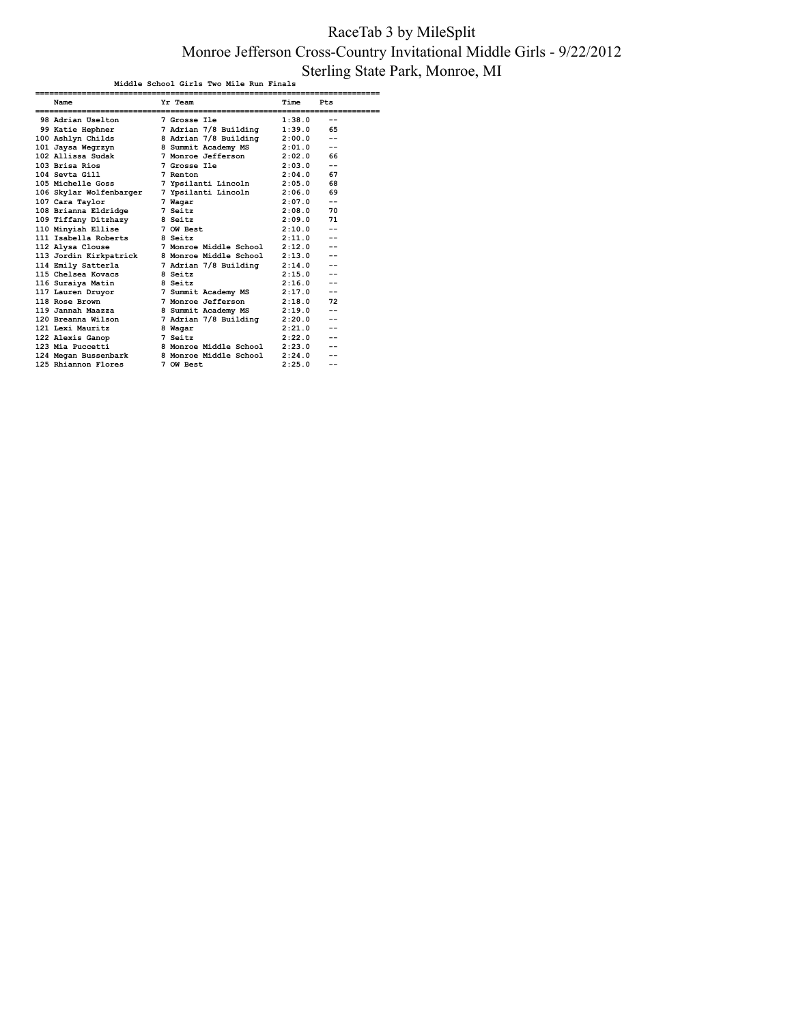### RaceTab 3 by MileSplit Monroe Jefferson Cross-Country Invitational Middle Girls - 9/22/2012 Sterling State Park, Monroe, MI

| Middle School Girls Two Mile Run Finals |  |                        |        |       |  |  |  |
|-----------------------------------------|--|------------------------|--------|-------|--|--|--|
| Name                                    |  | Yr Team                | Time   | Pts   |  |  |  |
| 98 Adrian Uselton                       |  | 7 Grosse Ile           | 1:38.0 | $-$   |  |  |  |
| 99 Katie Hephner                        |  | 7 Adrian 7/8 Building  | 1:39.0 | 65    |  |  |  |
| 100 Ashlyn Childs                       |  | 8 Adrian 7/8 Building  | 2:00.0 | $-$   |  |  |  |
| 101 Jaysa Wegrzyn                       |  | 8 Summit Academy MS    | 2:01.0 | $-$   |  |  |  |
| 102 Allissa Sudak                       |  | 7 Monroe Jefferson     | 2:02.0 | 66    |  |  |  |
| 103 Brisa Rios                          |  | 7 Grosse Ile           | 2:03.0 | $-$   |  |  |  |
| 104 Sevta Gill                          |  | 7 Renton               | 2:04.0 | 67    |  |  |  |
| 105 Michelle Goss                       |  | 7 Ypsilanti Lincoln    | 2:05.0 | 68    |  |  |  |
| 106 Skylar Wolfenbarger                 |  | 7 Ypsilanti Lincoln    | 2:06.0 | 69    |  |  |  |
| 107 Cara Taylor                         |  | 7 Waqar                | 2:07.0 | $-$   |  |  |  |
| 108 Brianna Eldridge                    |  | 7 Seitz                | 2:08.0 | 70    |  |  |  |
| 109 Tiffany Ditzhazy                    |  | 8 Seitz                | 2:09.0 | 71    |  |  |  |
| 110 Minyiah Ellise                      |  | 7 OW Best              | 2:10.0 | $-$   |  |  |  |
| 111 Isabella Roberts                    |  | 8 Seitz                | 2:11.0 | $-$   |  |  |  |
| 112 Alysa Clouse                        |  | 7 Monroe Middle School | 2:12.0 | $- -$ |  |  |  |
| 113 Jordin Kirkpatrick                  |  | 8 Monroe Middle School | 2:13.0 | $-$   |  |  |  |
| 114 Emily Satterla                      |  | 7 Adrian 7/8 Building  | 2:14.0 | $-$   |  |  |  |
| 115 Chelsea Kovacs                      |  | 8 Seitz                | 2:15.0 | $-$   |  |  |  |
| 116 Suraiya Matin                       |  | 8 Seitz                | 2:16.0 | $- -$ |  |  |  |
| 117 Lauren Druvor                       |  | 7 Summit Academy MS    | 2:17.0 | $-$   |  |  |  |
| 118 Rose Brown                          |  | 7 Monroe Jefferson     | 2:18.0 | 72    |  |  |  |
| 119 Jannah Maazza                       |  | 8 Summit Academy MS    | 2:19.0 | $-$   |  |  |  |
| 120 Breanna Wilson                      |  | 7 Adrian 7/8 Building  | 2:20.0 | $-$   |  |  |  |
| 121 Lexi Mauritz                        |  | 8 Waqar                | 2:21.0 | $- -$ |  |  |  |
| 122 Alexis Ganop                        |  | 7 Seitz                | 2:22.0 | $-$   |  |  |  |
| 123 Mia Puccetti                        |  | 8 Monroe Middle School | 2:23.0 | $-$   |  |  |  |
| 124 Megan Bussenbark                    |  | 8 Monroe Middle School | 2:24.0 |       |  |  |  |
| 125 Rhiannon Flores                     |  | 7 OW Best              | 2:25.0 | $-$   |  |  |  |
|                                         |  |                        |        |       |  |  |  |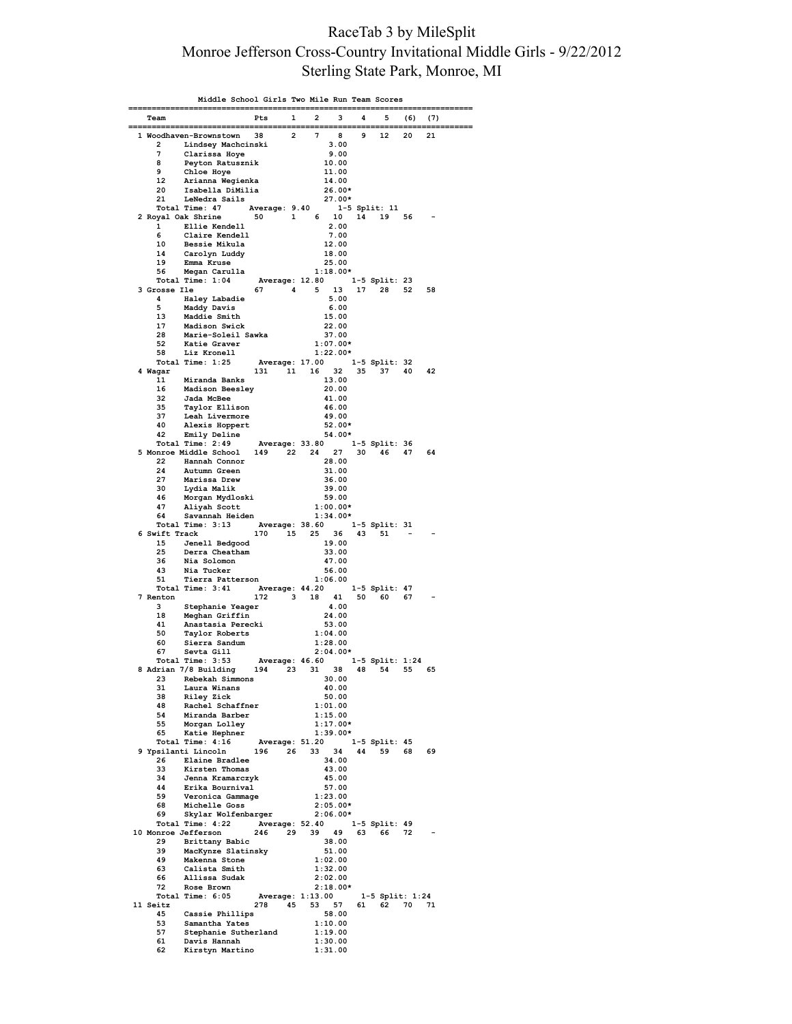### RaceTab 3 by MileSplit Monroe Jefferson Cross-Country Invitational Middle Girls - 9/22/2012 Sterling State Park, Monroe, MI

|               | Middle School Girls Two Mile Run Team Scores                      |                                |             |                          |    |                 |      |     |
|---------------|-------------------------------------------------------------------|--------------------------------|-------------|--------------------------|----|-----------------|------|-----|
| Team          |                                                                   | Pts                            | $1 \quad 2$ | з                        | 4  |                 | 5(6) | (7) |
|               | 1 Woodhaven-Brownstown                                            | 38                             | $2 \t 7$    | 8                        | 9  | 12              | 20   | 21  |
| 2             | Lindsey Machcinski                                                |                                |             | 3.00                     |    |                 |      |     |
| 7             | Clarissa Hoye                                                     |                                |             | 9.00                     |    |                 |      |     |
| 8<br>9        | Peyton Ratusznik<br>Chloe Hoye                                    |                                |             | 10.00<br>11.00           |    |                 |      |     |
| 12            | Arianna Wegienka                                                  |                                |             | 14.00                    |    |                 |      |     |
| 20            | Isabella DiMilia                                                  |                                |             | $26.00*$                 |    |                 |      |     |
| 21            | LeNedra Sails                                                     |                                |             | 27.00*                   |    | 1-5 Split: 11   |      |     |
|               | Total Time: 47 Average: 9.40 1-5<br>2 Royal Oak Shrine 50 1 6 10  |                                |             |                          | 14 | 19 56           |      |     |
| $\mathbf{1}$  | Ellie Kendell<br>Claire Kendell                                   |                                |             | 2.00                     |    |                 |      |     |
| 6<br>10       | Bessie Mikula                                                     |                                |             | 7.00<br>12.00            |    |                 |      |     |
| 14            | Carolyn Luddy                                                     |                                |             | 18.00                    |    |                 |      |     |
| 19            | Emma Kruse<br>56 Megan Carulla                                    |                                |             | 25.00                    |    |                 |      |     |
|               |                                                                   |                                |             | $1:18.00*$               |    |                 |      |     |
| 3 Grosse Ile  |                                                                   | 67 4 5 13 17 28                |             |                          |    |                 | 52   | 58  |
| 4             | Haley Labadie                                                     |                                |             | 5.00                     |    |                 |      |     |
| 5<br>13       | Maddy Davis<br>Maddie Smith                                       |                                |             | 6.00<br>15.00            |    |                 |      |     |
| 17            | Madison Swick                                                     |                                |             | 22.00                    |    |                 |      |     |
| 28            | Marie-Soleil Sawka                                                |                                |             | 37.00                    |    |                 |      |     |
| 52<br>58      | Katie Graver<br>Liz Kronell                                       |                                |             | $1:07.00*$<br>$1:22.00*$ |    |                 |      |     |
|               | Total Time: 1:25                                                  | Average: 17.00   1-5 Split: 32 |             |                          |    |                 |      |     |
| 4 Wagar       |                                                                   | 131 11 16 32                   |             |                          |    | 35 37 40 42     |      |     |
| 11<br>16      | Miranda Banks<br>Madison Beesley                                  |                                |             | 13.00<br>20.00           |    |                 |      |     |
| 32            | Jada McBee                                                        |                                |             | 41.00                    |    |                 |      |     |
| 35            | <b>Taylor Ellison</b>                                             |                                |             | 46.00                    |    |                 |      |     |
| 37<br>40      | Leah Livermore<br>Alexis Hoppert                                  |                                |             | 49.00<br>$52.00*$        |    |                 |      |     |
|               | 42 Emily Deline                                                   |                                |             | 54.00*                   |    |                 |      |     |
|               | Total Time: 2:49 Average: 33.80                                   |                                |             |                          |    | 1-5 Split: 36   |      |     |
| 22            | 5 Monroe Middle School<br>Hannah Connor                           | 149 22 24 27                   |             | 28.00                    |    | 30 46 47        |      | 64  |
| 24            | Autumn Green                                                      |                                |             | 31.00                    |    |                 |      |     |
| 27            | Marissa Drew                                                      |                                |             | 36.00                    |    |                 |      |     |
| 30<br>46      | Lydia Malik                                                       |                                |             | 39.00<br>59.00           |    |                 |      |     |
| 47            | Morgan Mydloski<br>Aliyah Scott                                   |                                |             | $1:00.00*$               |    |                 |      |     |
| 64            | Savannah Heiden                                                   |                                |             | $1:34.00*$               |    |                 |      |     |
| 6 Swift Track | Total Time: 3:13 Average: 38.60 1-5 Split: 31                     | 170  15  25  36  43  51        |             |                          |    |                 |      |     |
| 15            | Jenell Bedgood                                                    |                                |             | 19.00                    |    |                 |      |     |
| 25            | Derra Cheatham                                                    |                                |             | 33.00                    |    |                 |      |     |
| 36<br>43      | Nia Solomon<br>Nia Tucker                                         |                                |             | 47.00<br>56.00           |    |                 |      |     |
| 51            | Tierra Patterson                                                  |                                |             | 1:06.00                  |    |                 |      |     |
|               | Total Time: 3:41 Average: 44.20 1-5 Split: 47                     |                                |             |                          |    |                 |      |     |
| 7 Renton<br>3 | Stephanie Yeager                                                  | 172 3 18                       |             | 41<br>4.00               |    | 50 60           | 67   |     |
| 18            | Meghan Griffin                                                    |                                |             | 24.00                    |    |                 |      |     |
| 41            | Anastasia Perecki                                                 |                                |             | 53.00                    |    |                 |      |     |
| 50<br>60      | Taylor Roberts<br>Sierra Sandum                                   |                                |             | 1:04.00<br>1:28.00       |    |                 |      |     |
| 67            | Sevta Gill                                                        |                                |             | $2:04.00*$               |    |                 |      |     |
|               | Total Time: 3:53 Average: 46.60 1-5 Split: 1:24                   |                                |             |                          |    |                 |      |     |
| 23            | 8 Adrian 7/8 Building 194 23 31 38 48 54 55 65<br>Rebekah Simmons |                                |             | 30.00                    |    |                 |      |     |
| 31            | Laura Winans                                                      |                                |             | 40.00                    |    |                 |      |     |
| 38            | <b>Riley Zick</b>                                                 |                                |             | 50.00                    |    |                 |      |     |
| 48<br>54      | Rachel Schaffner<br>Miranda Barber                                |                                |             | 1:01.00<br>1:15.00       |    |                 |      |     |
| 55            | Morgan Lolley                                                     |                                |             | $1:17.00*$               |    |                 |      |     |
|               |                                                                   |                                |             |                          |    |                 |      |     |
|               | 9 Ypsilanti Lincoln 196 26 33 34                                  |                                |             |                          |    | 44 59           | 68   | 69  |
| 26            | Elaine Bradlee                                                    |                                |             | 34.00                    |    |                 |      |     |
| 33            | Kirsten Thomas                                                    |                                |             | 43.00                    |    |                 |      |     |
| 34<br>44      | Jenna Kramarczyk<br>Erika Bournival                               |                                |             | 45.00<br>57.00           |    |                 |      |     |
| 59            | Veronica Gammage                                                  |                                |             | 1:23.00                  |    |                 |      |     |
| 68            | Michelle Goss                                                     |                                |             | $2:05.00*$               |    |                 |      |     |
| 69            | Skylar Wolfenbarger<br>Total Time: 4:22 Average: 52.40            |                                |             | $2:06.00*$               |    | 1-5 Split: 49   |      |     |
|               | 10 Monroe Jefferson                                               | 246 29 39 49 63 66 72          |             |                          |    |                 |      |     |
| 29            | Brittany Babic                                                    |                                |             | 38.00                    |    |                 |      |     |
| 39<br>49      | MacKynze Slatinsky<br>Makenna Stone                               |                                |             | 51.00<br>1:02.00         |    |                 |      |     |
| 63            | Calista Smith                                                     |                                |             | 1:32.00                  |    |                 |      |     |
| 66            | Allissa Sudak                                                     |                                |             | 2:02.00                  |    |                 |      |     |
| 72            | Rose Brown<br>Total Time: 6:05                                    | Average: 1:13.00               |             | $2:18.00*$               |    | 1-5 Split: 1:24 |      |     |
| 11 Seitz      |                                                                   | 278 45 53 57                   |             |                          |    | 61 62 70 71     |      |     |
| 45            | Cassie Phillips                                                   |                                |             | 58.00                    |    |                 |      |     |
| 53<br>57      | Samantha Yates<br>Stephanie Sutherland                            |                                |             | 1:10.00<br>1:19.00       |    |                 |      |     |
| 61            | Davis Hannah                                                      |                                |             | 1:30.00                  |    |                 |      |     |
| 62            | Kirstyn Martino                                                   |                                |             | 1:31.00                  |    |                 |      |     |